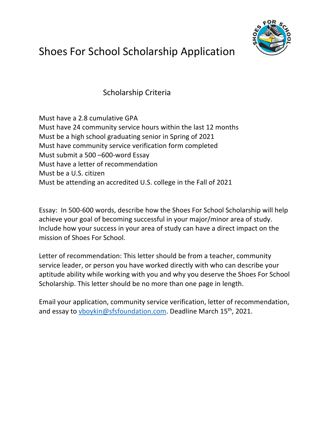

## Shoes For School Scholarship Application

Scholarship Criteria

Must have a 2.8 cumulative GPA Must have 24 community service hours within the last 12 months Must be a high school graduating senior in Spring of 2021 Must have community service verification form completed Must submit a 500 –600-word Essay Must have a letter of recommendation Must be a U.S. citizen Must be attending an accredited U.S. college in the Fall of 2021

Essay: In 500-600 words, describe how the Shoes For School Scholarship will help achieve your goal of becoming successful in your major/minor area of study. Include how your success in your area of study can have a direct impact on the mission of Shoes For School.

Letter of recommendation: This letter should be from a teacher, community service leader, or person you have worked directly with who can describe your aptitude ability while working with you and why you deserve the Shoes For School Scholarship. This letter should be no more than one page in length.

Email your application, community service verification, letter of recommendation, and essay to vboykin@sfsfoundation.com. Deadline March 15<sup>th</sup>, 2021.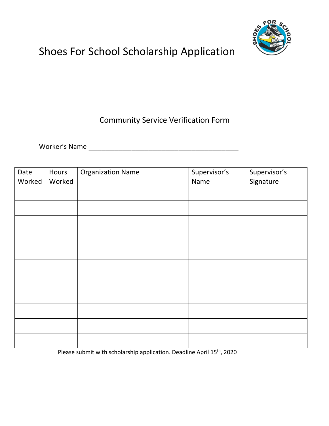

## Shoes For School Scholarship Application

## Community Service Verification Form

Worker's Name \_\_\_\_\_\_\_\_\_\_\_\_\_\_\_\_\_\_\_\_\_\_\_\_\_\_\_\_\_\_\_\_\_\_\_

| Date<br>Worked | Hours<br>Worked | <b>Organization Name</b> | Supervisor's<br>Name | Supervisor's<br>Signature |
|----------------|-----------------|--------------------------|----------------------|---------------------------|
|                |                 |                          |                      |                           |
|                |                 |                          |                      |                           |
|                |                 |                          |                      |                           |
|                |                 |                          |                      |                           |
|                |                 |                          |                      |                           |
|                |                 |                          |                      |                           |
|                |                 |                          |                      |                           |
|                |                 |                          |                      |                           |
|                |                 |                          |                      |                           |
|                |                 |                          |                      |                           |
|                |                 |                          |                      |                           |

Please submit with scholarship application. Deadline April 15<sup>th</sup>, 2020